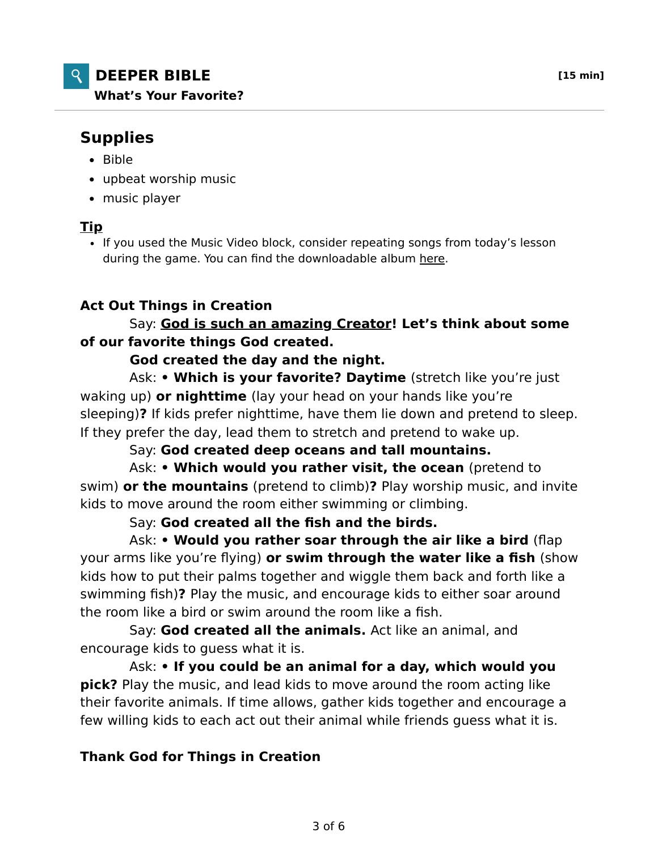# **DEEPER BIBLE [15 min] What's Your Favorite?**

# **Supplies**

- $-Bible$
- upbeat worship music
- music player

#### **Tip**

• If you used the Music Video block, consider repeating songs from today's lesson during the game. You can find the downloadable album here.

# **Act Out Things in Creation**

## Say: **God is such an amazing Creator! Let's think about some of our favorite things God created.**

#### **God created the day and the night.**

 Ask: **• Which is your favorite? Daytime** (stretch like you're just waking up) **or nighttime** (lay your head on your hands like you're sleeping)**?** If kids prefer nighttime, have them lie down and pretend to sleep. If they prefer the day, lead them to stretch and pretend to wake up.

#### Say: **God created deep oceans and tall mountains.**

 Ask: **• Which would you rather visit, the ocean** (pretend to swim) **or the mountains** (pretend to climb)**?** Play worship music, and invite kids to move around the room either swimming or climbing.

## Say: **God created all the fish and the birds.**

 Ask: **• Would you rather soar through the air like a bird** (flap your arms like you're flying) **or swim through the water like a fish** (show kids how to put their palms together and wiggle them back and forth like a swimming fish)**?** Play the music, and encourage kids to either soar around the room like a bird or swim around the room like a fish.

 Say: **God created all the animals.** Act like an animal, and encourage kids to guess what it is.

 Ask: **• If you could be an animal for a day, which would you pick?** Play the music, and lead kids to move around the room acting like their favorite animals. If time allows, gather kids together and encourage a few willing kids to each act out their animal while friends guess what it is.

## **Thank God for Things in Creation**